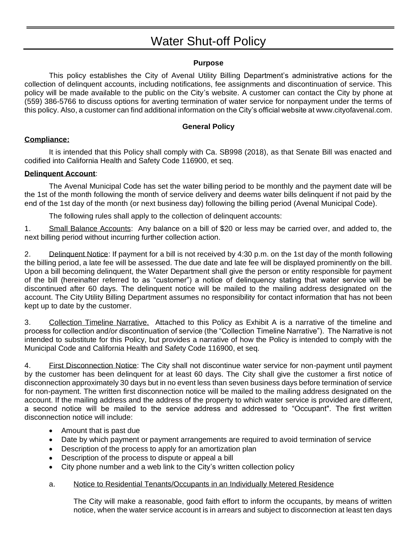# Water Shut-off Policy

## **Purpose**

This policy establishes the City of Avenal Utility Billing Department's administrative actions for the collection of delinquent accounts, including notifications, fee assignments and discontinuation of service. This policy will be made available to the public on the City's website. A customer can contact the City by phone at (559) 386-5766 to discuss options for averting termination of water service for nonpayment under the terms of this policy. Also, a customer can find additional information on the City's official website at www.cityofavenal.com.

## **General Policy**

## **Compliance:**

It is intended that this Policy shall comply with Ca. SB998 (2018), as that Senate Bill was enacted and codified into California Health and Safety Code 116900, et seq.

### **Delinquent Account**:

The Avenal Municipal Code has set the water billing period to be monthly and the payment date will be the 1st of the month following the month of service delivery and deems water bills delinquent if not paid by the end of the 1st day of the month (or next business day) following the billing period (Avenal Municipal Code).

The following rules shall apply to the collection of delinquent accounts:

1. Small Balance Accounts: Any balance on a bill of \$20 or less may be carried over, and added to, the next billing period without incurring further collection action.

2. Delinquent Notice: If payment for a bill is not received by 4:30 p.m. on the 1st day of the month following the billing period, a late fee will be assessed. The due date and late fee will be displayed prominently on the bill. Upon a bill becoming delinquent, the Water Department shall give the person or entity responsible for payment of the bill (hereinafter referred to as "customer") a notice of delinquency stating that water service will be discontinued after 60 days. The delinquent notice will be mailed to the mailing address designated on the account. The City Utility Billing Department assumes no responsibility for contact information that has not been kept up to date by the customer.

3. Collection Timeline Narrative. Attached to this Policy as Exhibit A is a narrative of the timeline and process for collection and/or discontinuation of service (the "Collection Timeline Narrative"). The Narrative is not intended to substitute for this Policy, but provides a narrative of how the Policy is intended to comply with the Municipal Code and California Health and Safety Code 116900, et seq.

4. First Disconnection Notice: The City shall not discontinue water service for non-payment until payment by the customer has been delinquent for at least 60 days. The City shall give the customer a first notice of disconnection approximately 30 days but in no event less than seven business days before termination of service for non-payment. The written first disconnection notice will be mailed to the mailing address designated on the account. If the mailing address and the address of the property to which water service is provided are different, a second notice will be mailed to the service address and addressed to "Occupant". The first written disconnection notice will include:

- Amount that is past due
- Date by which payment or payment arrangements are required to avoid termination of service
- Description of the process to apply for an amortization plan
- Description of the process to dispute or appeal a bill
- City phone number and a web link to the City's written collection policy
- a. Notice to Residential Tenants/Occupants in an Individually Metered Residence

The City will make a reasonable, good faith effort to inform the occupants, by means of written notice, when the water service account is in arrears and subject to disconnection at least ten days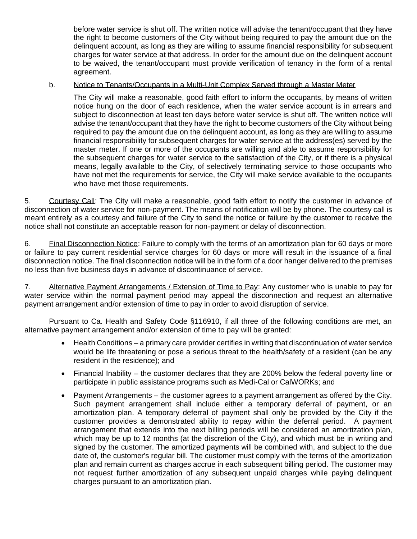before water service is shut off. The written notice will advise the tenant/occupant that they have the right to become customers of the City without being required to pay the amount due on the delinquent account, as long as they are willing to assume financial responsibility for subsequent charges for water service at that address. In order for the amount due on the delinquent account to be waived, the tenant/occupant must provide verification of tenancy in the form of a rental agreement.

#### b. Notice to Tenants/Occupants in a Multi-Unit Complex Served through a Master Meter

The City will make a reasonable, good faith effort to inform the occupants, by means of written notice hung on the door of each residence, when the water service account is in arrears and subject to disconnection at least ten days before water service is shut off. The written notice will advise the tenant/occupant that they have the right to become customers of the City without being required to pay the amount due on the delinquent account, as long as they are willing to assume financial responsibility for subsequent charges for water service at the address(es) served by the master meter. If one or more of the occupants are willing and able to assume responsibility for the subsequent charges for water service to the satisfaction of the City, or if there is a physical means, legally available to the City, of selectively terminating service to those occupants who have not met the requirements for service, the City will make service available to the occupants who have met those requirements.

5. Courtesy Call: The City will make a reasonable, good faith effort to notify the customer in advance of disconnection of water service for non-payment. The means of notification will be by phone. The courtesy call is meant entirely as a courtesy and failure of the City to send the notice or failure by the customer to receive the notice shall not constitute an acceptable reason for non-payment or delay of disconnection.

6. Final Disconnection Notice: Failure to comply with the terms of an amortization plan for 60 days or more or failure to pay current residential service charges for 60 days or more will result in the issuance of a final disconnection notice. The final disconnection notice will be in the form of a door hanger delivered to the premises no less than five business days in advance of discontinuance of service.

7. Alternative Payment Arrangements / Extension of Time to Pay: Any customer who is unable to pay for water service within the normal payment period may appeal the disconnection and request an alternative payment arrangement and/or extension of time to pay in order to avoid disruption of service.

Pursuant to Ca. Health and Safety Code §116910, if all three of the following conditions are met, an alternative payment arrangement and/or extension of time to pay will be granted:

- Health Conditions a primary care provider certifies in writing that discontinuation of water service would be life threatening or pose a serious threat to the health/safety of a resident (can be any resident in the residence); and
- Financial Inability the customer declares that they are 200% below the federal poverty line or participate in public assistance programs such as Medi-Cal or CalWORKs; and
- Payment Arrangements the customer agrees to a payment arrangement as offered by the City. Such payment arrangement shall include either a temporary deferral of payment, or an amortization plan. A temporary deferral of payment shall only be provided by the City if the customer provides a demonstrated ability to repay within the deferral period. A payment arrangement that extends into the next billing periods will be considered an amortization plan, which may be up to 12 months (at the discretion of the City), and which must be in writing and signed by the customer. The amortized payments will be combined with, and subject to the due date of, the customer's regular bill. The customer must comply with the terms of the amortization plan and remain current as charges accrue in each subsequent billing period. The customer may not request further amortization of any subsequent unpaid charges while paying delinquent charges pursuant to an amortization plan.